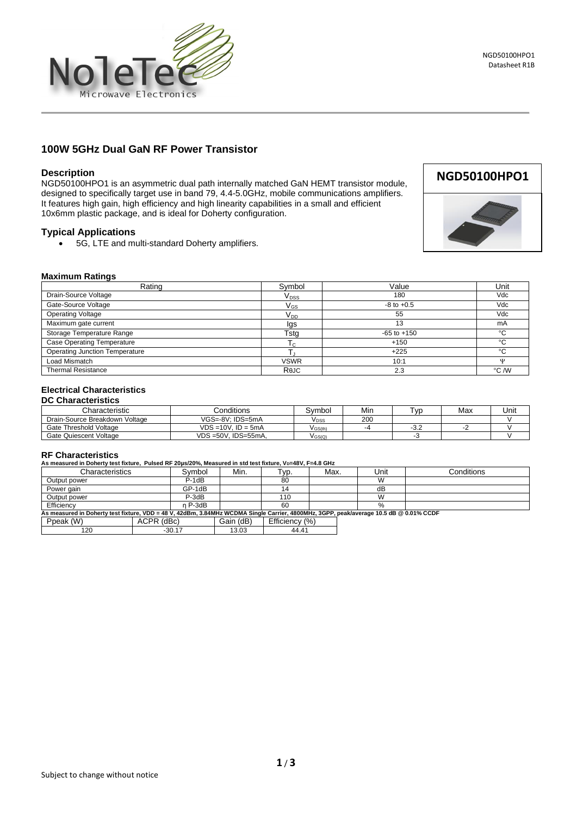

## **100W 5GHz Dual GaN RF Power Transistor**

#### **Description**

NGD50100HPO1 is an asymmetric dual path internally matched GaN HEMT transistor module, designed to specifically target use in band 79, 4.4-5.0GHz, mobile communications amplifiers. It features high gain, high efficiency and high linearity capabilities in a small and efficient 10x6mm plastic package, and is ideal for Doherty configuration.

#### **Typical Applications**

• 5G, LTE and multi-standard Doherty amplifiers.



#### **Maximum Ratings**

| Rating                                | Symbol                     | Value           | Unit         |
|---------------------------------------|----------------------------|-----------------|--------------|
| Drain-Source Voltage                  | <b>V</b> <sub>pss</sub>    | 180             | Vdc          |
| Gate-Source Voltage                   | $\mathsf{V}_{\mathsf{GS}}$ | $-8$ to $+0.5$  | Vdc          |
| <b>Operating Voltage</b>              | V <sub>DD</sub>            | 55              | Vdc          |
| Maximum gate current                  | lgs                        | 13              | mA           |
| Storage Temperature Range             | Tstg                       | $-65$ to $+150$ | °C           |
| <b>Case Operating Temperature</b>     | I c                        | $+150$          | °C           |
| <b>Operating Junction Temperature</b> |                            | $+225$          | °C           |
| Load Mismatch                         | <b>VSWR</b>                | 10:1            | $\mathbf{u}$ |
| <b>Thermal Resistance</b>             | Rejc                       | 2.3             | °C /W        |

#### **Electrical Characteristics**

#### **DC Characteristics**

| Characteristic                 | ∴onditions                  | Svmbol    | Min  | vr.                  | Max | Unit |
|--------------------------------|-----------------------------|-----------|------|----------------------|-----|------|
| Drain-Source Breakdown Voltage | VGS=-8V: IDS=5mA            | Vpss      | 200  |                      |     |      |
| Gate Threshold Voltage         | $VDS = 10V$ . ID = 5mA      | V GS(th)  | $-4$ | $\sim$ $\sim$<br>ے.c |     |      |
| Gate Quiescent Voltage         | $VDS = 50V$ . IDS= $55mA$ . | $V$ GS(Q) |      |                      |     |      |

# **RF Characteristics**

**As measured in Doherty test fixture, Pulsed RF 20µs/20%, Measured in std test fixture, VD=48V, F=4.8 GHz**

| AS measured in Donerty test fixture.  Pulsed RF 2005/20%. Measured in Std test fixture. VD=48V. F=4.8 GHZ                              |            |           |           |                |      |      |            |
|----------------------------------------------------------------------------------------------------------------------------------------|------------|-----------|-----------|----------------|------|------|------------|
| Characteristics                                                                                                                        |            | Svmbol    | Min.      | Typ.           | Max. | Unit | Conditions |
| Output power                                                                                                                           |            | $P-1dB$   |           | 80             |      | W    |            |
| Power gain                                                                                                                             |            | GP-1dB    |           |                |      | dB   |            |
| Output power                                                                                                                           |            | $P-3dB$   |           | 110            |      | W    |            |
| Efficiency                                                                                                                             |            | $n$ P-3dB |           | 60             |      | $\%$ |            |
| As measured in Doherty test fixture, VDD = 48 V, 42dBm, 3.84MHz WCDMA Single Carrier, 4800MHz, 3GPP, peak/average 10.5 dB @ 0.01% CCDF |            |           |           |                |      |      |            |
| Ppeak (W)                                                                                                                              | ACPR (dBc) |           | Gain (dB) | Efficiency (%) |      |      |            |
| 120                                                                                                                                    |            | $-30.17$  | 13.03     | 44.41          |      |      |            |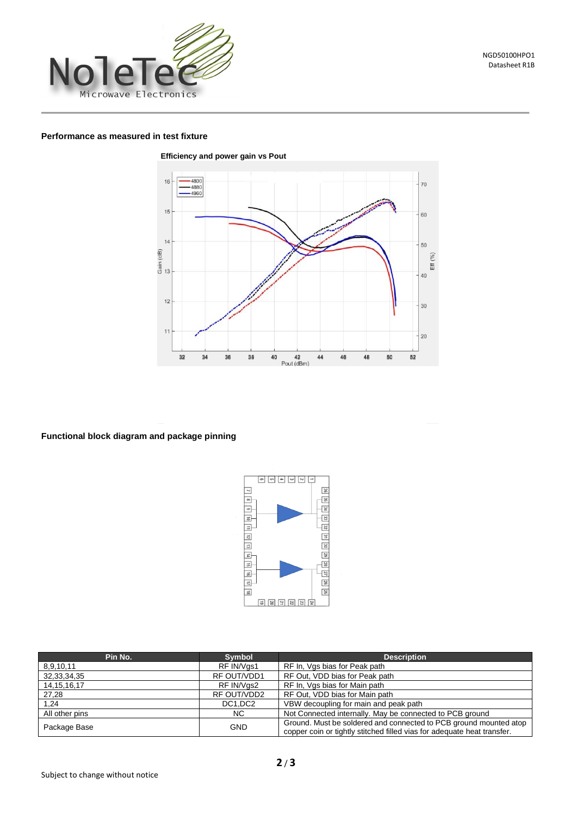

### **Performance as measured in test fixture**



**Functional block diagram and package pinning**



| Pin No.        | <b>Symbol</b> | <b>Description</b>                                                                                                                           |
|----------------|---------------|----------------------------------------------------------------------------------------------------------------------------------------------|
| 8,9,10,11      | RF IN/Vgs1    | RF In, Vgs bias for Peak path                                                                                                                |
| 32,33,34,35    | RF OUT/VDD1   | RF Out, VDD bias for Peak path                                                                                                               |
| 14, 15, 16, 17 | RF IN/Vgs2    | RF In, Vgs bias for Main path                                                                                                                |
| 27,28          | RF OUT/VDD2   | RF Out, VDD bias for Main path                                                                                                               |
| 1,24           | DC1,DC2       | VBW decoupling for main and peak path                                                                                                        |
| All other pins | NC.           | Not Connected internally. May be connected to PCB ground                                                                                     |
| Package Base   | <b>GND</b>    | Ground. Must be soldered and connected to PCB ground mounted atop<br>copper coin or tightly stitched filled vias for adequate heat transfer. |